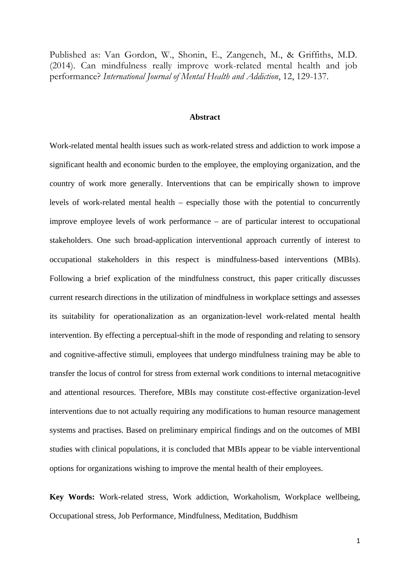Published as: Van Gordon, W., Shonin, E., Zangeneh, M., & Griffiths, M.D. (2014). Can mindfulness really improve work-related mental health and job performance? *International Journal of Mental Health and Addiction*, 12, 129-137.

## **Abstract**

Work-related mental health issues such as work-related stress and addiction to work impose a significant health and economic burden to the employee, the employing organization, and the country of work more generally. Interventions that can be empirically shown to improve levels of work-related mental health – especially those with the potential to concurrently improve employee levels of work performance – are of particular interest to occupational stakeholders. One such broad-application interventional approach currently of interest to occupational stakeholders in this respect is mindfulness-based interventions (MBIs). Following a brief explication of the mindfulness construct, this paper critically discusses current research directions in the utilization of mindfulness in workplace settings and assesses its suitability for operationalization as an organization-level work-related mental health intervention. By effecting a perceptual-shift in the mode of responding and relating to sensory and cognitive-affective stimuli, employees that undergo mindfulness training may be able to transfer the locus of control for stress from external work conditions to internal metacognitive and attentional resources. Therefore, MBIs may constitute cost-effective organization-level interventions due to not actually requiring any modifications to human resource management systems and practises. Based on preliminary empirical findings and on the outcomes of MBI studies with clinical populations, it is concluded that MBIs appear to be viable interventional options for organizations wishing to improve the mental health of their employees.

**Key Words:** Work-related stress, Work addiction, Workaholism, Workplace wellbeing, Occupational stress, Job Performance, Mindfulness, Meditation, Buddhism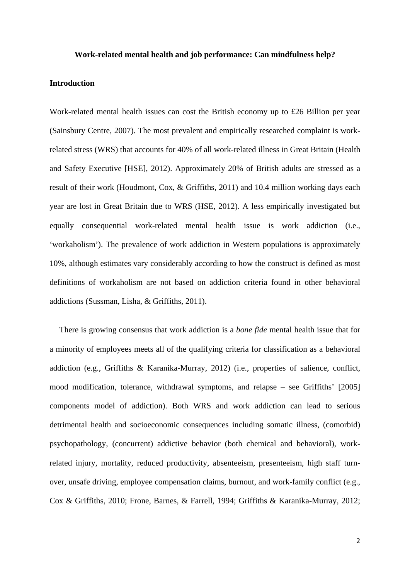### **Work-related mental health and job performance: Can mindfulness help?**

# **Introduction**

Work-related mental health issues can cost the British economy up to £26 Billion per year (Sainsbury Centre, 2007). The most prevalent and empirically researched complaint is workrelated stress (WRS) that accounts for 40% of all work-related illness in Great Britain (Health and Safety Executive [HSE], 2012). Approximately 20% of British adults are stressed as a result of their work (Houdmont, Cox, & Griffiths, 2011) and 10.4 million working days each year are lost in Great Britain due to WRS (HSE, 2012). A less empirically investigated but equally consequential work-related mental health issue is work addiction (i.e., 'workaholism'). The prevalence of work addiction in Western populations is approximately 10%, although estimates vary considerably according to how the construct is defined as most definitions of workaholism are not based on addiction criteria found in other behavioral addictions (Sussman, Lisha, & Griffiths, 2011).

There is growing consensus that work addiction is a *bone fide* mental health issue that for a minority of employees meets all of the qualifying criteria for classification as a behavioral addiction (e.g., Griffiths & Karanika-Murray, 2012) (i.e., properties of salience, conflict, mood modification, tolerance, withdrawal symptoms, and relapse – see Griffiths' [2005] components model of addiction). Both WRS and work addiction can lead to serious detrimental health and socioeconomic consequences including somatic illness, (comorbid) psychopathology, (concurrent) addictive behavior (both chemical and behavioral), workrelated injury, mortality, reduced productivity, absenteeism, presenteeism, high staff turnover, unsafe driving, employee compensation claims, burnout, and work-family conflict (e.g., Cox & Griffiths, 2010; Frone, Barnes, & Farrell, 1994; Griffiths & Karanika-Murray, 2012;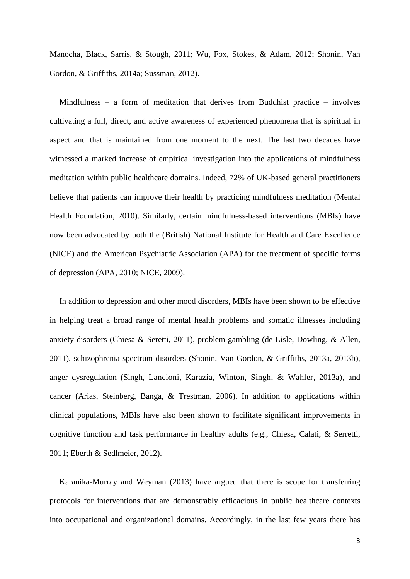Manocha, Black, Sarris, & Stough, 2011; Wu**,** Fox, Stokes, & Adam, 2012; Shonin, Van Gordon, & Griffiths, 2014a; Sussman, 2012).

Mindfulness – a form of meditation that derives from Buddhist practice – involves cultivating a full, direct, and active awareness of experienced phenomena that is spiritual in aspect and that is maintained from one moment to the next. The last two decades have witnessed a marked increase of empirical investigation into the applications of mindfulness meditation within public healthcare domains. Indeed, 72% of UK-based general practitioners believe that patients can improve their health by practicing mindfulness meditation (Mental Health Foundation, 2010). Similarly, certain mindfulness-based interventions (MBIs) have now been advocated by both the (British) National Institute for Health and Care Excellence (NICE) and the American Psychiatric Association (APA) for the treatment of specific forms of depression (APA, 2010; NICE, 2009).

In addition to depression and other mood disorders, MBIs have been shown to be effective in helping treat a broad range of mental health problems and somatic illnesses including anxiety disorders (Chiesa & Seretti, 2011), problem gambling (de Lisle, Dowling, & Allen, 2011), schizophrenia-spectrum disorders (Shonin, Van Gordon, & Griffiths, 2013a, 2013b), anger dysregulation (Singh, Lancioni, Karazia, Winton, Singh, & Wahler, 2013a), and cancer (Arias, Steinberg, Banga, & Trestman, 2006). In addition to applications within clinical populations, MBIs have also been shown to facilitate significant improvements in cognitive function and task performance in healthy adults (e.g., Chiesa, Calati, & Serretti, 2011; Eberth & Sedlmeier, 2012).

Karanika-Murray and Weyman (2013) have argued that there is scope for transferring protocols for interventions that are demonstrably efficacious in public healthcare contexts into occupational and organizational domains. Accordingly, in the last few years there has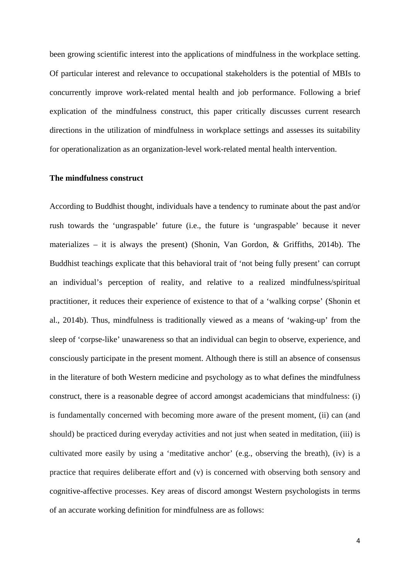been growing scientific interest into the applications of mindfulness in the workplace setting. Of particular interest and relevance to occupational stakeholders is the potential of MBIs to concurrently improve work-related mental health and job performance. Following a brief explication of the mindfulness construct, this paper critically discusses current research directions in the utilization of mindfulness in workplace settings and assesses its suitability for operationalization as an organization-level work-related mental health intervention.

## **The mindfulness construct**

According to Buddhist thought, individuals have a tendency to ruminate about the past and/or rush towards the 'ungraspable' future (i.e., the future is 'ungraspable' because it never materializes – it is always the present) (Shonin, Van Gordon, & Griffiths, 2014b). The Buddhist teachings explicate that this behavioral trait of 'not being fully present' can corrupt an individual's perception of reality, and relative to a realized mindfulness/spiritual practitioner, it reduces their experience of existence to that of a 'walking corpse' (Shonin et al., 2014b). Thus, mindfulness is traditionally viewed as a means of 'waking-up' from the sleep of 'corpse-like' unawareness so that an individual can begin to observe, experience, and consciously participate in the present moment. Although there is still an absence of consensus in the literature of both Western medicine and psychology as to what defines the mindfulness construct, there is a reasonable degree of accord amongst academicians that mindfulness: (i) is fundamentally concerned with becoming more aware of the present moment, (ii) can (and should) be practiced during everyday activities and not just when seated in meditation, (iii) is cultivated more easily by using a 'meditative anchor' (e.g., observing the breath), (iv) is a practice that requires deliberate effort and (v) is concerned with observing both sensory and cognitive-affective processes. Key areas of discord amongst Western psychologists in terms of an accurate working definition for mindfulness are as follows: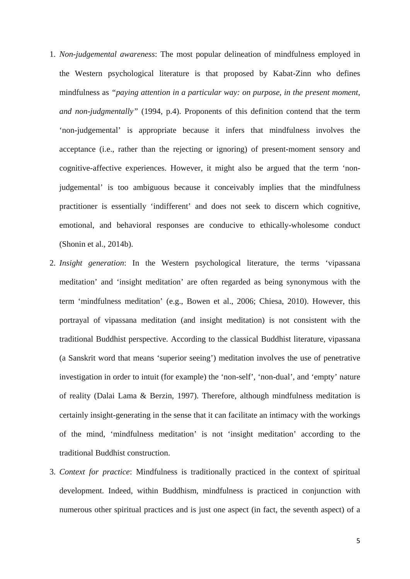- 1. *Non-judgemental awareness*: The most popular delineation of mindfulness employed in the Western psychological literature is that proposed by Kabat-Zinn who defines mindfulness as *"paying attention in a particular way: on purpose, in the present moment, and non-judgmentally"* (1994, p.4). Proponents of this definition contend that the term 'non-judgemental' is appropriate because it infers that mindfulness involves the acceptance (i.e., rather than the rejecting or ignoring) of present-moment sensory and cognitive-affective experiences. However, it might also be argued that the term 'nonjudgemental' is too ambiguous because it conceivably implies that the mindfulness practitioner is essentially 'indifferent' and does not seek to discern which cognitive, emotional, and behavioral responses are conducive to ethically-wholesome conduct (Shonin et al., 2014b).
- 2. *Insight generation*: In the Western psychological literature, the terms 'vipassana meditation' and 'insight meditation' are often regarded as being synonymous with the term 'mindfulness meditation' (e.g., Bowen et al., 2006; Chiesa, 2010). However, this portrayal of vipassana meditation (and insight meditation) is not consistent with the traditional Buddhist perspective. According to the classical Buddhist literature, vipassana (a Sanskrit word that means 'superior seeing') meditation involves the use of penetrative investigation in order to intuit (for example) the 'non-self', 'non-dual', and 'empty' nature of reality (Dalai Lama & Berzin, 1997). Therefore, although mindfulness meditation is certainly insight-generating in the sense that it can facilitate an intimacy with the workings of the mind, 'mindfulness meditation' is not 'insight meditation' according to the traditional Buddhist construction.
- 3. *Context for practice*: Mindfulness is traditionally practiced in the context of spiritual development. Indeed, within Buddhism, mindfulness is practiced in conjunction with numerous other spiritual practices and is just one aspect (in fact, the seventh aspect) of a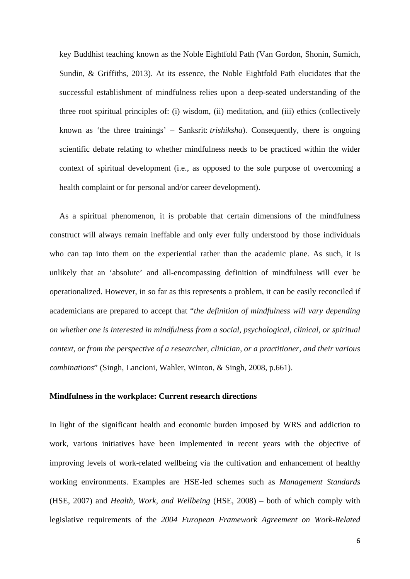key Buddhist teaching known as the Noble Eightfold Path (Van Gordon, Shonin, Sumich, Sundin, & Griffiths, 2013). At its essence, the Noble Eightfold Path elucidates that the successful establishment of mindfulness relies upon a deep-seated understanding of the three root spiritual principles of: (i) wisdom, (ii) meditation, and (iii) ethics (collectively known as 'the three trainings' – Sanksrit: *trishiksha*). Consequently, there is ongoing scientific debate relating to whether mindfulness needs to be practiced within the wider context of spiritual development (i.e., as opposed to the sole purpose of overcoming a health complaint or for personal and/or career development).

As a spiritual phenomenon, it is probable that certain dimensions of the mindfulness construct will always remain ineffable and only ever fully understood by those individuals who can tap into them on the experiential rather than the academic plane. As such, it is unlikely that an 'absolute' and all-encompassing definition of mindfulness will ever be operationalized. However, in so far as this represents a problem, it can be easily reconciled if academicians are prepared to accept that "*the definition of mindfulness will vary depending on whether one is interested in mindfulness from a social, psychological, clinical, or spiritual context, or from the perspective of a researcher, clinician, or a practitioner, and their various combinations*" (Singh, Lancioni, Wahler, Winton, & Singh, 2008, p.661).

# **Mindfulness in the workplace: Current research directions**

In light of the significant health and economic burden imposed by WRS and addiction to work, various initiatives have been implemented in recent years with the objective of improving levels of work-related wellbeing via the cultivation and enhancement of healthy working environments. Examples are HSE-led schemes such as *Management Standards* (HSE, 2007) and *Health, Work, and Wellbeing* (HSE, 2008) – both of which comply with legislative requirements of the *2004 European Framework Agreement on Work-Related*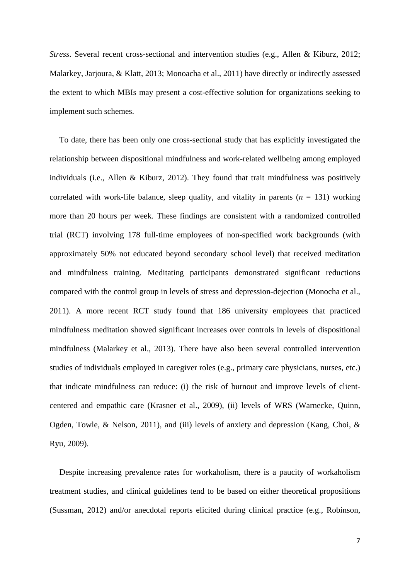*Stress*. Several recent cross-sectional and intervention studies (e.g., Allen & Kiburz, 2012; Malarkey, Jarjoura, & Klatt, 2013; Monoacha et al., 2011) have directly or indirectly assessed the extent to which MBIs may present a cost-effective solution for organizations seeking to implement such schemes.

To date, there has been only one cross-sectional study that has explicitly investigated the relationship between dispositional mindfulness and work-related wellbeing among employed individuals (i.e., Allen & Kiburz, 2012). They found that trait mindfulness was positively correlated with work-life balance, sleep quality, and vitality in parents  $(n = 131)$  working more than 20 hours per week. These findings are consistent with a randomized controlled trial (RCT) involving 178 full-time employees of non-specified work backgrounds (with approximately 50% not educated beyond secondary school level) that received meditation and mindfulness training. Meditating participants demonstrated significant reductions compared with the control group in levels of stress and depression-dejection (Monocha et al., 2011). A more recent RCT study found that 186 university employees that practiced mindfulness meditation showed significant increases over controls in levels of dispositional mindfulness (Malarkey et al., 2013). There have also been several controlled intervention studies of individuals employed in caregiver roles (e.g., primary care physicians, nurses, etc.) that indicate mindfulness can reduce: (i) the risk of burnout and improve levels of clientcentered and empathic care (Krasner et al., 2009), (ii) levels of WRS (Warnecke, Quinn, Ogden, Towle, & Nelson, 2011), and (iii) levels of anxiety and depression (Kang, Choi, & Ryu, 2009).

Despite increasing prevalence rates for workaholism, there is a paucity of workaholism treatment studies, and clinical guidelines tend to be based on either theoretical propositions (Sussman, 2012) and/or anecdotal reports elicited during clinical practice (e.g., Robinson,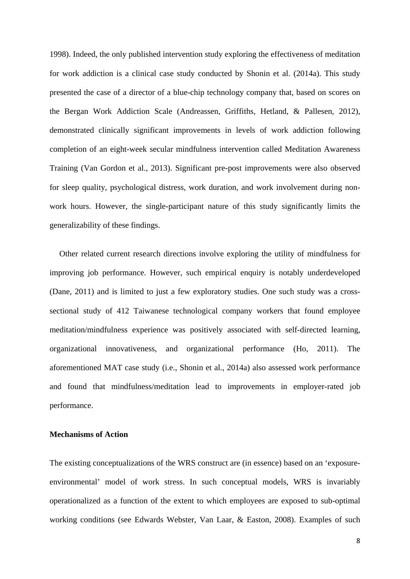1998). Indeed, the only published intervention study exploring the effectiveness of meditation for work addiction is a clinical case study conducted by Shonin et al. (2014a). This study presented the case of a director of a blue-chip technology company that, based on scores on the Bergan Work Addiction Scale (Andreassen, Griffiths, Hetland, & Pallesen, 2012), demonstrated clinically significant improvements in levels of work addiction following completion of an eight-week secular mindfulness intervention called Meditation Awareness Training (Van Gordon et al., 2013). Significant pre-post improvements were also observed for sleep quality, psychological distress, work duration, and work involvement during nonwork hours. However, the single-participant nature of this study significantly limits the generalizability of these findings.

Other related current research directions involve exploring the utility of mindfulness for improving job performance. However, such empirical enquiry is notably underdeveloped (Dane, 2011) and is limited to just a few exploratory studies. One such study was a crosssectional study of 412 Taiwanese technological company workers that found employee meditation/mindfulness experience was positively associated with self-directed learning, organizational innovativeness, and organizational performance (Ho, 2011). The aforementioned MAT case study (i.e., Shonin et al., 2014a) also assessed work performance and found that mindfulness/meditation lead to improvements in employer-rated job performance.

### **Mechanisms of Action**

The existing conceptualizations of the WRS construct are (in essence) based on an 'exposureenvironmental' model of work stress. In such conceptual models, WRS is invariably operationalized as a function of the extent to which employees are exposed to sub-optimal working conditions (see Edwards Webster, Van Laar, & Easton, 2008). Examples of such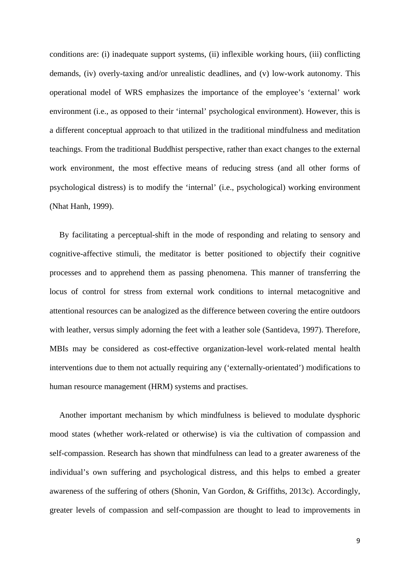conditions are: (i) inadequate support systems, (ii) inflexible working hours, (iii) conflicting demands, (iv) overly-taxing and/or unrealistic deadlines, and (v) low-work autonomy. This operational model of WRS emphasizes the importance of the employee's 'external' work environment (i.e., as opposed to their 'internal' psychological environment). However, this is a different conceptual approach to that utilized in the traditional mindfulness and meditation teachings. From the traditional Buddhist perspective, rather than exact changes to the external work environment, the most effective means of reducing stress (and all other forms of psychological distress) is to modify the 'internal' (i.e., psychological) working environment (Nhat Hanh, 1999).

By facilitating a perceptual-shift in the mode of responding and relating to sensory and cognitive-affective stimuli, the meditator is better positioned to objectify their cognitive processes and to apprehend them as passing phenomena. This manner of transferring the locus of control for stress from external work conditions to internal metacognitive and attentional resources can be analogized as the difference between covering the entire outdoors with leather, versus simply adorning the feet with a leather sole (Santideva, 1997). Therefore, MBIs may be considered as cost-effective organization-level work-related mental health interventions due to them not actually requiring any ('externally-orientated') modifications to human resource management (HRM) systems and practises.

Another important mechanism by which mindfulness is believed to modulate dysphoric mood states (whether work-related or otherwise) is via the cultivation of compassion and self-compassion. Research has shown that mindfulness can lead to a greater awareness of the individual's own suffering and psychological distress, and this helps to embed a greater awareness of the suffering of others (Shonin, Van Gordon, & Griffiths, 2013c). Accordingly, greater levels of compassion and self-compassion are thought to lead to improvements in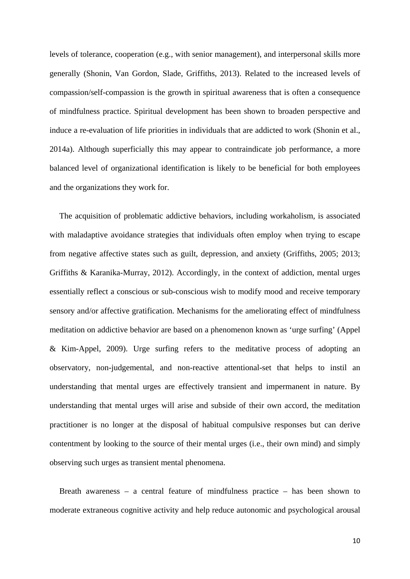levels of tolerance, cooperation (e.g., with senior management), and interpersonal skills more generally (Shonin, Van Gordon, Slade, Griffiths, 2013). Related to the increased levels of compassion/self-compassion is the growth in spiritual awareness that is often a consequence of mindfulness practice. Spiritual development has been shown to broaden perspective and induce a re-evaluation of life priorities in individuals that are addicted to work (Shonin et al., 2014a). Although superficially this may appear to contraindicate job performance, a more balanced level of organizational identification is likely to be beneficial for both employees and the organizations they work for.

The acquisition of problematic addictive behaviors, including workaholism, is associated with maladaptive avoidance strategies that individuals often employ when trying to escape from negative affective states such as guilt, depression, and anxiety (Griffiths, 2005; 2013; Griffiths & Karanika-Murray, 2012). Accordingly, in the context of addiction, mental urges essentially reflect a conscious or sub-conscious wish to modify mood and receive temporary sensory and/or affective gratification. Mechanisms for the ameliorating effect of mindfulness meditation on addictive behavior are based on a phenomenon known as 'urge surfing' (Appel & Kim-Appel, 2009). Urge surfing refers to the meditative process of adopting an observatory, non-judgemental, and non-reactive attentional-set that helps to instil an understanding that mental urges are effectively transient and impermanent in nature. By understanding that mental urges will arise and subside of their own accord, the meditation practitioner is no longer at the disposal of habitual compulsive responses but can derive contentment by looking to the source of their mental urges (i.e., their own mind) and simply observing such urges as transient mental phenomena.

Breath awareness – a central feature of mindfulness practice – has been shown to moderate extraneous cognitive activity and help reduce autonomic and psychological arousal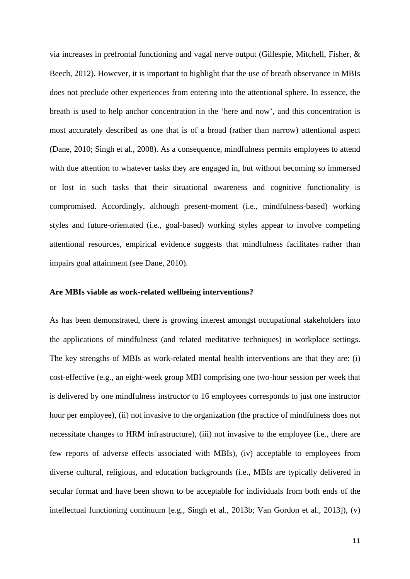via increases in prefrontal functioning and vagal nerve output (Gillespie, Mitchell, Fisher, & Beech, 2012). However, it is important to highlight that the use of breath observance in MBIs does not preclude other experiences from entering into the attentional sphere. In essence, the breath is used to help anchor concentration in the 'here and now', and this concentration is most accurately described as one that is of a broad (rather than narrow) attentional aspect (Dane, 2010; Singh et al., 2008). As a consequence, mindfulness permits employees to attend with due attention to whatever tasks they are engaged in, but without becoming so immersed or lost in such tasks that their situational awareness and cognitive functionality is compromised. Accordingly, although present-moment (i.e., mindfulness-based) working styles and future-orientated (i.e., goal-based) working styles appear to involve competing attentional resources, empirical evidence suggests that mindfulness facilitates rather than impairs goal attainment (see Dane, 2010).

### **Are MBIs viable as work-related wellbeing interventions?**

As has been demonstrated, there is growing interest amongst occupational stakeholders into the applications of mindfulness (and related meditative techniques) in workplace settings. The key strengths of MBIs as work-related mental health interventions are that they are: (i) cost-effective (e.g., an eight-week group MBI comprising one two-hour session per week that is delivered by one mindfulness instructor to 16 employees corresponds to just one instructor hour per employee), (ii) not invasive to the organization (the practice of mindfulness does not necessitate changes to HRM infrastructure), (iii) not invasive to the employee (i.e., there are few reports of adverse effects associated with MBIs), (iv) acceptable to employees from diverse cultural, religious, and education backgrounds (i.e., MBIs are typically delivered in secular format and have been shown to be acceptable for individuals from both ends of the intellectual functioning continuum [e.g., Singh et al., 2013b; Van Gordon et al., 2013]), (v)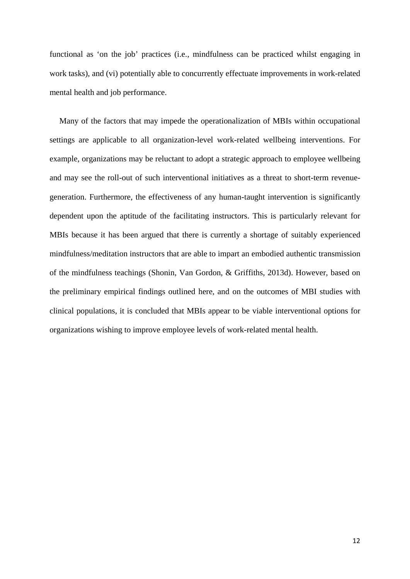functional as 'on the job' practices (i.e., mindfulness can be practiced whilst engaging in work tasks), and (vi) potentially able to concurrently effectuate improvements in work-related mental health and job performance.

Many of the factors that may impede the operationalization of MBIs within occupational settings are applicable to all organization-level work-related wellbeing interventions. For example, organizations may be reluctant to adopt a strategic approach to employee wellbeing and may see the roll-out of such interventional initiatives as a threat to short-term revenuegeneration. Furthermore, the effectiveness of any human-taught intervention is significantly dependent upon the aptitude of the facilitating instructors. This is particularly relevant for MBIs because it has been argued that there is currently a shortage of suitably experienced mindfulness/meditation instructors that are able to impart an embodied authentic transmission of the mindfulness teachings (Shonin, Van Gordon, & Griffiths, 2013d). However, based on the preliminary empirical findings outlined here, and on the outcomes of MBI studies with clinical populations, it is concluded that MBIs appear to be viable interventional options for organizations wishing to improve employee levels of work-related mental health.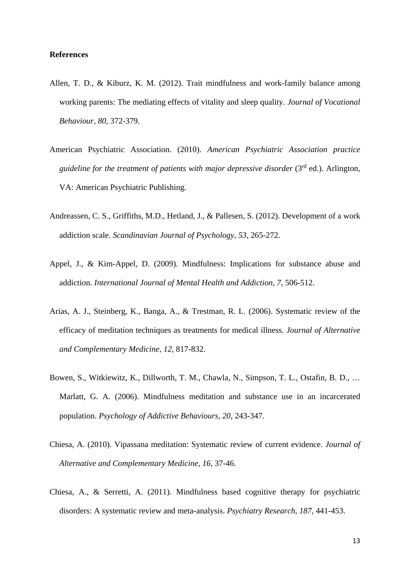# **References**

- Allen, T. D., & Kiburz, K. M. (2012). Trait mindfulness and work-family balance among working parents: The mediating effects of vitality and sleep quality. *Journal of Vocational Behaviour, 80*, 372-379.
- American Psychiatric Association. (2010). *American Psychiatric Association practice guideline for the treatment of patients with major depressive disorder* (3<sup>rd</sup> ed.). Arlington, VA: American Psychiatric Publishing.
- Andreassen, C. S., Griffiths, M.D., Hetland, J., & Pallesen, S. (2012). Development of a work addiction scale. *Scandinavian Journal of Psychology, 53,* 265-272.
- Appel, J., & Kim-Appel, D. (2009). Mindfulness: Implications for substance abuse and addiction. *International Journal of Mental Health and Addiction, 7*, 506-512.
- Arias, A. J., Steinberg, K., Banga, A., & Trestman, R. L. (2006). Systematic review of the efficacy of meditation techniques as treatments for medical illness. *Journal of Alternative and Complementary Medicine, 12,* 817-832.
- Bowen, S., Witkiewitz, K., Dillworth, T. M., Chawla, N., Simpson, T. L., Ostafin, B. D., … Marlatt, G. A. (2006). Mindfulness meditation and substance use in an incarcerated population. *Psychology of Addictive Behaviours, 20*, 243-347.
- Chiesa, A. (2010). Vipassana meditation: Systematic review of current evidence. *Journal of Alternative and Complementary Medicine, 16*, 37-46.
- Chiesa, A., & Serretti, A. (2011). Mindfulness based cognitive therapy for psychiatric disorders: A systematic review and meta-analysis. *Psychiatry Research, 187*, 441-453.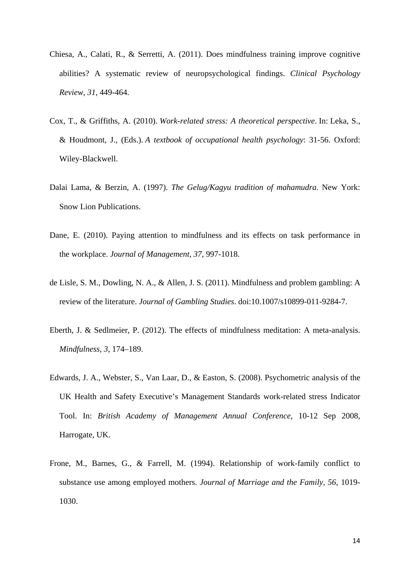- Chiesa, A., Calati, R., & Serretti, A. (2011). Does mindfulness training improve cognitive abilities? A systematic review of neuropsychological findings. *Clinical Psychology Review, 31,* 449-464.
- Cox, T., & Griffiths, A. (2010). *Work-related stress: A theoretical perspective*. In: Leka, S., & Houdmont, J., (Eds.). *A textbook of occupational health psychology*: 31-56. Oxford: Wiley-Blackwell.
- Dalai Lama, & Berzin, A. (1997). *The Gelug/Kagyu tradition of mahamudra.* New York: Snow Lion Publications.
- Dane, E. (2010). Paying attention to mindfulness and its effects on task performance in the workplace. *Journal of Management, 37*, 997-1018.
- de Lisle, S. M., Dowling, N. A., & Allen, J. S. (2011). Mindfulness and problem gambling: A review of the literature. *Journal of Gambling Studies*. doi:10.1007/s10899-011-9284-7.
- Eberth, J. & Sedlmeier, P. (2012). The effects of mindfulness meditation: A meta-analysis. *Mindfulness, 3*, 174–189.
- Edwards, J. A., Webster, S., Van Laar, D., & Easton, S. (2008). Psychometric analysis of the UK Health and Safety Executive's Management Standards work-related stress Indicator Tool. In: *British Academy of Management Annual Conference*, 10-12 Sep 2008, Harrogate, UK.
- Frone, M., Barnes, G., & Farrell, M. (1994). Relationship of work-family conflict to substance use among employed mothers. *Journal of Marriage and the Family, 56*, 1019- 1030.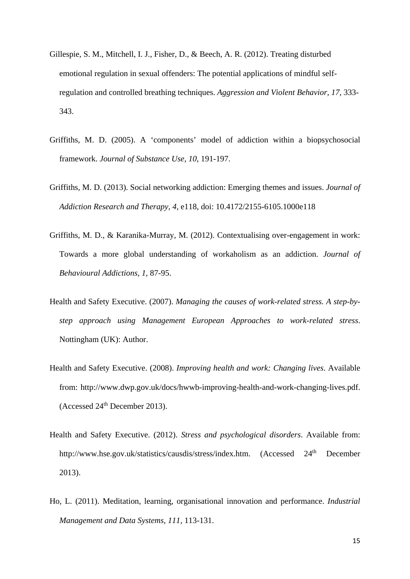- Gillespie, S. M., Mitchell, I. J., Fisher, D., & Beech, A. R. (2012). Treating disturbed emotional regulation in sexual offenders: The potential applications of mindful selfregulation and controlled breathing techniques. *Aggression and Violent Behavior, 17*, 333- 343.
- Griffiths, M. D. (2005). A 'components' model of addiction within a biopsychosocial framework. *Journal of Substance Use, 10*, 191-197.
- Griffiths, M. D. (2013). Social networking addiction: Emerging themes and issues. *Journal of Addiction Research and Therapy, 4*, e118, doi: 10.4172/2155-6105.1000e118
- Griffiths, M. D., & Karanika-Murray, M. (2012). Contextualising over-engagement in work: Towards a more global understanding of workaholism as an addiction. *Journal of Behavioural Addictions, 1*, 87-95.
- Health and Safety Executive. (2007). *Managing the causes of work-related stress. A step-bystep approach using Management European Approaches to work-related stress*. Nottingham (UK): Author.
- Health and Safety Executive. (2008). *Improving health and work: Changing lives*. Available from: http://www.dwp.gov.uk/docs/hwwb-improving-health-and-work-changing-lives.pdf. (Accessed 24th December 2013).
- Health and Safety Executive. (2012). *Stress and psychological disorders*. Available from: http://www.hse.gov.uk/statistics/causdis/stress/index.htm. (Accessed 24<sup>th</sup> December 2013).
- Ho, L. (2011). Meditation, learning, organisational innovation and performance. *Industrial Management and Data Systems, 111,* 113-131.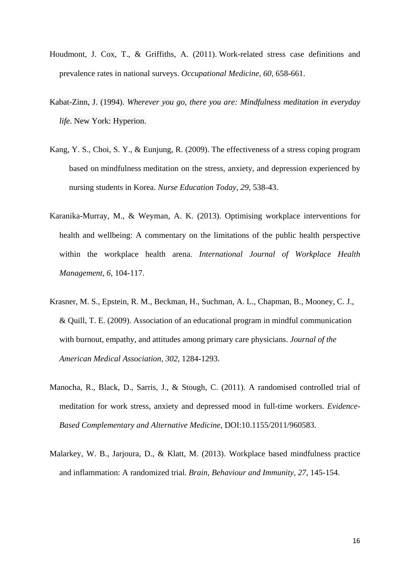- Houdmont, J. Cox, T., & Griffiths, A. (2011). Work-related stress case definitions and prevalence rates in national surveys. *Occupational Medicine, 60,* 658-661.
- Kabat-Zinn, J. (1994). *Wherever you go, there you are: Mindfulness meditation in everyday life*. New York: Hyperion.
- Kang, Y. S., Choi, S. Y., & Eunjung, R. (2009). The effectiveness of a stress coping program based on mindfulness meditation on the stress, anxiety, and depression experienced by nursing students in Korea. *Nurse Education Today*, *29,* 538-43.
- Karanika-Murray, M., & Weyman, A. K. (2013). Optimising workplace interventions for health and wellbeing: A commentary on the limitations of the public health perspective within the workplace health arena. *International Journal of Workplace Health Management*, *6*, 104-117.
- Krasner, M. S., Epstein, R. M., Beckman, H., Suchman, A. L., Chapman, B., Mooney, C. J., & Quill, T. E. (2009). Association of an educational program in mindful communication with burnout, empathy, and attitudes among primary care physicians. *Journal of the American Medical Association, 302*, 1284-1293.
- Manocha, R., Black, D., Sarris, J., & Stough, C. (2011). A randomised controlled trial of meditation for work stress, anxiety and depressed mood in full-time workers. *Evidence-Based Complementary and Alternative Medicine*, DOI:10.1155/2011/960583.
- Malarkey, W. B., Jarjoura, D., & Klatt, M. (2013). Workplace based mindfulness practice and inflammation: A randomized trial. *Brain, Behaviour and Immunity, 27*, 145-154.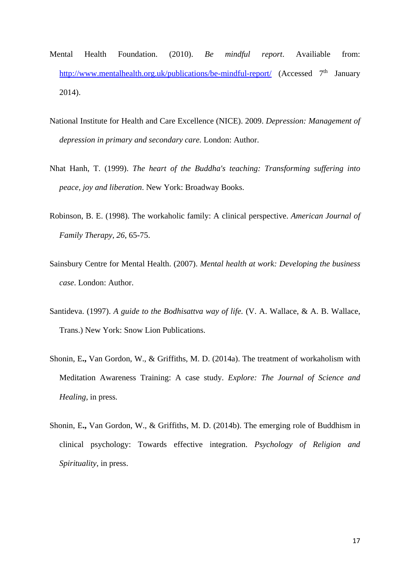- Mental Health Foundation. (2010). *Be mindful report*. Availiable from: http://www.mentalhealth.org.uk/publications/be-mindful-report/ (Accessed  $7<sup>th</sup>$  January 2014).
- National Institute for Health and Care Excellence (NICE). 2009. *Depression: Management of depression in primary and secondary care.* London: Author.
- Nhat Hanh, T. (1999). *The heart of the Buddha's teaching: Transforming suffering into peace, joy and liberation*. New York: Broadway Books.
- Robinson, B. E. (1998). The workaholic family: A clinical perspective. *American Journal of Family Therapy, 26*, 65-75.
- Sainsbury Centre for Mental Health. (2007). *Mental health at work: Developing the business case*. London: Author.
- Santideva. (1997). *A guide to the Bodhisattva way of life.* (V. A. Wallace, & A. B. Wallace, Trans.) New York: Snow Lion Publications.
- Shonin, E**.,** Van Gordon, W., & Griffiths, M. D. (2014a). The treatment of workaholism with Meditation Awareness Training: A case study. *Explore: The Journal of Science and Healing,* in press*.*
- Shonin, E**.,** Van Gordon, W., & Griffiths, M. D. (2014b). The emerging role of Buddhism in clinical psychology: Towards effective integration. *Psychology of Religion and Spirituality*, in press.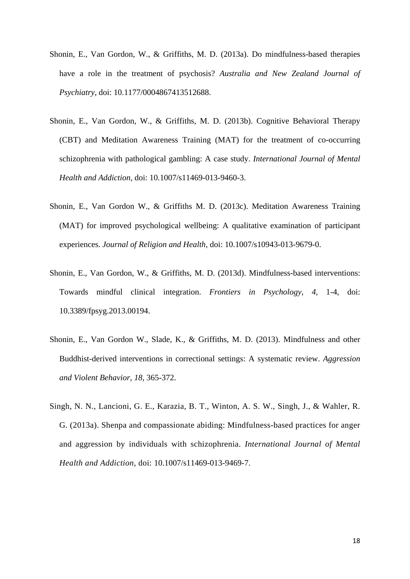- Shonin, E., Van Gordon, W., & Griffiths, M. D. (2013a). Do mindfulness-based therapies have a role in the treatment of psychosis? *Australia and New Zealand Journal of Psychiatry*, doi: 10.1177/0004867413512688.
- Shonin, E., Van Gordon, W., & Griffiths, M. D. (2013b). Cognitive Behavioral Therapy (CBT) and Meditation Awareness Training (MAT) for the treatment of co-occurring schizophrenia with pathological gambling: A case study. *International Journal of Mental Health and Addiction,* doi: 10.1007/s11469-013-9460-3.
- Shonin, E., Van Gordon W., & Griffiths M. D. (2013c). Meditation Awareness Training (MAT) for improved psychological wellbeing: A qualitative examination of participant experiences. *Journal of Religion and Health,* doi: 10.1007/s10943-013-9679-0.
- Shonin, E., Van Gordon, W., & Griffiths, M. D. (2013d). Mindfulness-based interventions: Towards mindful clinical integration. *Frontiers in Psychology, 4,* 1-4, doi: 10.3389/fpsyg.2013.00194.
- Shonin, E., Van Gordon W., Slade, K., & Griffiths, M. D. (2013). Mindfulness and other Buddhist-derived interventions in correctional settings: A systematic review. *Aggression and Violent Behavior*, *18*, 365-372.
- Singh, N. N., Lancioni, G. E., Karazia, B. T., Winton, A. S. W., Singh, J., & Wahler, R. G. (2013a). Shenpa and compassionate abiding: Mindfulness-based practices for anger and aggression by individuals with schizophrenia. *International Journal of Mental Health and Addiction*, doi: 10.1007/s11469-013-9469-7.